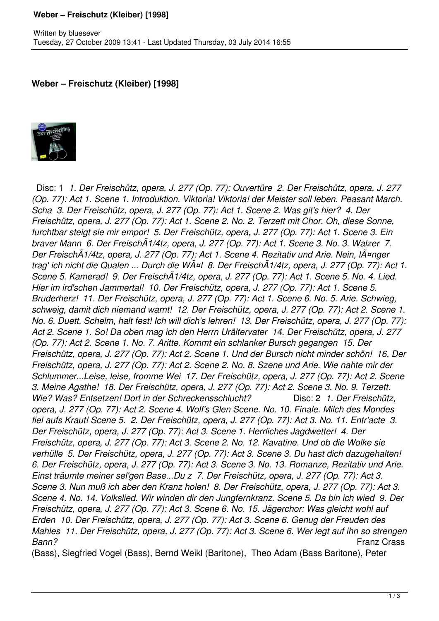## **Weber – Freischutz (Kleiber) [1998]**

## **Weber – Freischutz (Kleiber) [1998]**



 Disc: 1 *1. Der Freischütz, opera, J. 277 (Op. 77): Ouvertüre 2. Der Freischütz, opera, J. 277 (Op. 77): Act 1. Scene 1. Introduktion. Viktoria! Viktoria! der Meister soll leben. Peasant March. Scha 3. Der Freischütz, opera, J. 277 (Op. 77): Act 1. Scene 2. Was git's hier? 4. Der Freischütz, opera, J. 277 (Op. 77): Act 1. Scene 2. No. 2. Terzett mit Chor. Oh, diese Sonne, furchtbar steigt sie mir empor! 5. Der Freischütz, opera, J. 277 (Op. 77): Act 1. Scene 3. Ein braver Mann 6. Der FreischÃ1/4tz, opera, J. 277 (Op. 77): Act 1. Scene 3. No. 3. Walzer 7. Der FreischÃ1/4tz, opera, J. 277 (Op. 77): Act 1. Scene 4. Rezitativ und Arie. Nein, länger trag' ich nicht die Qualen ... Durch die Wäl 8. Der FreischÃ1/4tz, opera, J. 277 (Op. 77): Act 1. Scene 5. Kamerad! 9. Der FreischÃ1/4tz, opera, J. 277 (Op. 77): Act 1. Scene 5. No. 4. Lied. Hier im ird'schen Jammertal! 10. Der Freischütz, opera, J. 277 (Op. 77): Act 1. Scene 5. Bruderherz! 11. Der Freischütz, opera, J. 277 (Op. 77): Act 1. Scene 6. No. 5. Arie. Schwieg, schweig, damit dich niemand warnt! 12. Der Freischütz, opera, J. 277 (Op. 77): Act 2. Scene 1. No. 6. Duett. Schelm, halt fest! Ich will dich's lehren! 13. Der Freischütz, opera, J. 277 (Op. 77): Act 2. Scene 1. So! Da oben mag ich den Herrn Urältervater 14. Der Freischütz, opera, J. 277 (Op. 77): Act 2. Scene 1. No. 7. Aritte. Kommt ein schlanker Bursch gegangen 15. Der Freischütz, opera, J. 277 (Op. 77): Act 2. Scene 1. Und der Bursch nicht minder schön! 16. Der Freischütz, opera, J. 277 (Op. 77): Act 2. Scene 2. No. 8. Szene und Arie. Wie nahte mir der Schlummer...Leise, leise, fromme Wei 17. Der Freischütz, opera, J. 277 (Op. 77): Act 2. Scene 3. Meine Agathe! 18. Der Freischütz, opera, J. 277 (Op. 77): Act 2. Scene 3. No. 9. Terzett. Wie? Was? Entsetzen! Dort in der Schreckensschlucht?* Disc: 2 *1. Der Freischütz, opera, J. 277 (Op. 77): Act 2. Scene 4. Wolf's Glen Scene. No. 10. Finale. Milch des Mondes fiel aufs Kraut! Scene 5. 2. Der Freischütz, opera, J. 277 (Op. 77): Act 3. No. 11. Entr'acte 3. Der Freischütz, opera, J. 277 (Op. 77): Act 3. Scene 1. Herrliches Jagdwetter! 4. Der Freischütz, opera, J. 277 (Op. 77): Act 3. Scene 2. No. 12. Kavatine. Und ob die Wolke sie verhülle 5. Der Freischütz, opera, J. 277 (Op. 77): Act 3. Scene 3. Du hast dich dazugehalten! 6. Der Freischütz, opera, J. 277 (Op. 77): Act 3. Scene 3. No. 13. Romanze, Rezitativ und Arie. Einst träumte meiner sel'gen Base...Du z 7. Der Freischütz, opera, J. 277 (Op. 77): Act 3. Scene 3. Nun muß ich aber den Kranz holen! 8. Der Freischütz, opera, J. 277 (Op. 77): Act 3. Scene 4. No. 14. Volkslied. Wir winden dir den Jungfernkranz. Scene 5. Da bin ich wied 9. Der Freischütz, opera, J. 277 (Op. 77): Act 3. Scene 6. No. 15. Jägerchor: Was gleicht wohl auf Erden 10. Der Freischütz, opera, J. 277 (Op. 77): Act 3. Scene 6. Genug der Freuden des Mahles 11. Der Freischütz, opera, J. 277 (Op. 77): Act 3. Scene 6. Wer legt auf ihn so strengen Bann?* Franz Crass

(Bass), Siegfried Vogel (Bass), Bernd Weikl (Baritone), Theo Adam (Bass Baritone), Peter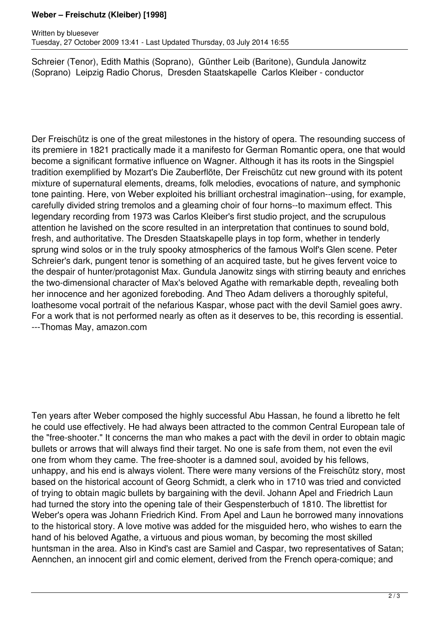## **Weber – Freischutz (Kleiber) [1998]**

Schreier (Tenor), Edith Mathis (Soprano), Günther Leib (Baritone), Gundula Janowitz (Soprano) Leipzig Radio Chorus, Dresden Staatskapelle Carlos Kleiber - conductor

Der Freischütz is one of the great milestones in the history of opera. The resounding success of its premiere in 1821 practically made it a manifesto for German Romantic opera, one that would become a significant formative influence on Wagner. Although it has its roots in the Singspiel tradition exemplified by Mozart's Die Zauberflöte, Der Freischütz cut new ground with its potent mixture of supernatural elements, dreams, folk melodies, evocations of nature, and symphonic tone painting. Here, von Weber exploited his brilliant orchestral imagination--using, for example, carefully divided string tremolos and a gleaming choir of four horns--to maximum effect. This legendary recording from 1973 was Carlos Kleiber's first studio project, and the scrupulous attention he lavished on the score resulted in an interpretation that continues to sound bold, fresh, and authoritative. The Dresden Staatskapelle plays in top form, whether in tenderly sprung wind solos or in the truly spooky atmospherics of the famous Wolf's Glen scene. Peter Schreier's dark, pungent tenor is something of an acquired taste, but he gives fervent voice to the despair of hunter/protagonist Max. Gundula Janowitz sings with stirring beauty and enriches the two-dimensional character of Max's beloved Agathe with remarkable depth, revealing both her innocence and her agonized foreboding. And Theo Adam delivers a thoroughly spiteful, loathesome vocal portrait of the nefarious Kaspar, whose pact with the devil Samiel goes awry. For a work that is not performed nearly as often as it deserves to be, this recording is essential. ---Thomas May, amazon.com

Ten years after Weber composed the highly successful Abu Hassan, he found a libretto he felt he could use effectively. He had always been attracted to the common Central European tale of the "free-shooter." It concerns the man who makes a pact with the devil in order to obtain magic bullets or arrows that will always find their target. No one is safe from them, not even the evil one from whom they came. The free-shooter is a damned soul, avoided by his fellows, unhappy, and his end is always violent. There were many versions of the Freischütz story, most based on the historical account of Georg Schmidt, a clerk who in 1710 was tried and convicted of trying to obtain magic bullets by bargaining with the devil. Johann Apel and Friedrich Laun had turned the story into the opening tale of their Gespensterbuch of 1810. The librettist for Weber's opera was Johann Friedrich Kind. From Apel and Laun he borrowed many innovations to the historical story. A love motive was added for the misguided hero, who wishes to earn the hand of his beloved Agathe, a virtuous and pious woman, by becoming the most skilled huntsman in the area. Also in Kind's cast are Samiel and Caspar, two representatives of Satan; Aennchen, an innocent girl and comic element, derived from the French opera-comique; and